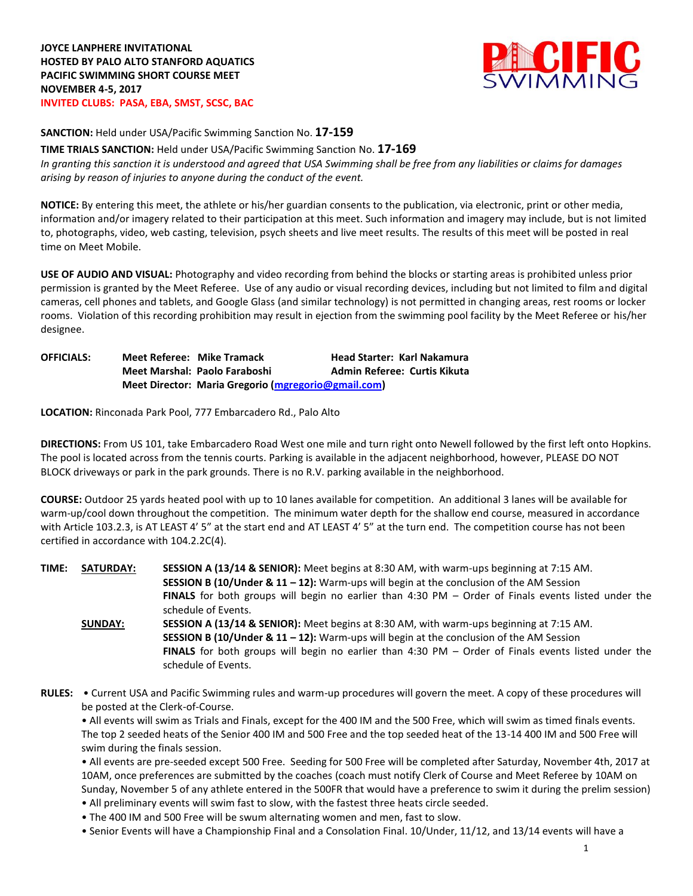

**SANCTION:** Held under USA/Pacific Swimming Sanction No. **17-159**

**TIME TRIALS SANCTION:** Held under USA/Pacific Swimming Sanction No. **17-169** *In granting this sanction it is understood and agreed that USA Swimming shall be free from any liabilities or claims for damages arising by reason of injuries to anyone during the conduct of the event.*

**NOTICE:** By entering this meet, the athlete or his/her guardian consents to the publication, via electronic, print or other media, information and/or imagery related to their participation at this meet. Such information and imagery may include, but is not limited to, photographs, video, web casting, television, psych sheets and live meet results. The results of this meet will be posted in real time on Meet Mobile.

**USE OF AUDIO AND VISUAL:** Photography and video recording from behind the blocks or starting areas is prohibited unless prior permission is granted by the Meet Referee. Use of any audio or visual recording devices, including but not limited to film and digital cameras, cell phones and tablets, and Google Glass (and similar technology) is not permitted in changing areas, rest rooms or locker rooms. Violation of this recording prohibition may result in ejection from the swimming pool facility by the Meet Referee or his/her designee.

**OFFICIALS: Meet Referee: Mike Tramack Head Starter: Karl Nakamura Meet Marshal: Paolo Faraboshi Admin Referee: Curtis Kikuta Meet Director: Maria Gregorio [\(mgregorio@gmail.com\)](mailto:mgregorio@gmail.com)**

**LOCATION:** Rinconada Park Pool, 777 Embarcadero Rd., Palo Alto

**DIRECTIONS:** From US 101, take Embarcadero Road West one mile and turn right onto Newell followed by the first left onto Hopkins. The pool is located across from the tennis courts. Parking is available in the adjacent neighborhood, however, PLEASE DO NOT BLOCK driveways or park in the park grounds. There is no R.V. parking available in the neighborhood.

**COURSE:** Outdoor 25 yards heated pool with up to 10 lanes available for competition. An additional 3 lanes will be available for warm-up/cool down throughout the competition. The minimum water depth for the shallow end course, measured in accordance with Article 103.2.3, is AT LEAST 4' 5" at the start end and AT LEAST 4' 5" at the turn end. The competition course has not been certified in accordance with 104.2.2C(4).

| TIME: | <b>SATURDAY:</b> | SESSION A (13/14 & SENIOR): Meet begins at 8:30 AM, with warm-ups beginning at 7:15 AM.                                             |
|-------|------------------|-------------------------------------------------------------------------------------------------------------------------------------|
|       |                  | <b>SESSION B (10/Under &amp; 11 – 12):</b> Warm-ups will begin at the conclusion of the AM Session                                  |
|       |                  | FINALS for both groups will begin no earlier than 4:30 PM - Order of Finals events listed under the                                 |
|       |                  | schedule of Events.                                                                                                                 |
|       | <b>SUNDAY:</b>   | SESSION A (13/14 & SENIOR): Meet begins at 8:30 AM, with warm-ups beginning at 7:15 AM.                                             |
|       |                  | <b>SESSION B (10/Under &amp; 11 – 12):</b> Warm-ups will begin at the conclusion of the AM Session                                  |
|       |                  | <b>FINALS</b> for both groups will begin no earlier than 4:30 PM $-$ Order of Finals events listed under the<br>schedule of Events. |
|       |                  |                                                                                                                                     |

**RULES:** • Current USA and Pacific Swimming rules and warm-up procedures will govern the meet. A copy of these procedures will be posted at the Clerk-of-Course.

• All events will swim as Trials and Finals, except for the 400 IM and the 500 Free, which will swim as timed finals events. The top 2 seeded heats of the Senior 400 IM and 500 Free and the top seeded heat of the 13-14 400 IM and 500 Free will swim during the finals session.

• All events are pre-seeded except 500 Free. Seeding for 500 Free will be completed after Saturday, November 4th, 2017 at 10AM, once preferences are submitted by the coaches (coach must notify Clerk of Course and Meet Referee by 10AM on Sunday, November 5 of any athlete entered in the 500FR that would have a preference to swim it during the prelim session)

- All preliminary events will swim fast to slow, with the fastest three heats circle seeded.
- The 400 IM and 500 Free will be swum alternating women and men, fast to slow.
- Senior Events will have a Championship Final and a Consolation Final. 10/Under, 11/12, and 13/14 events will have a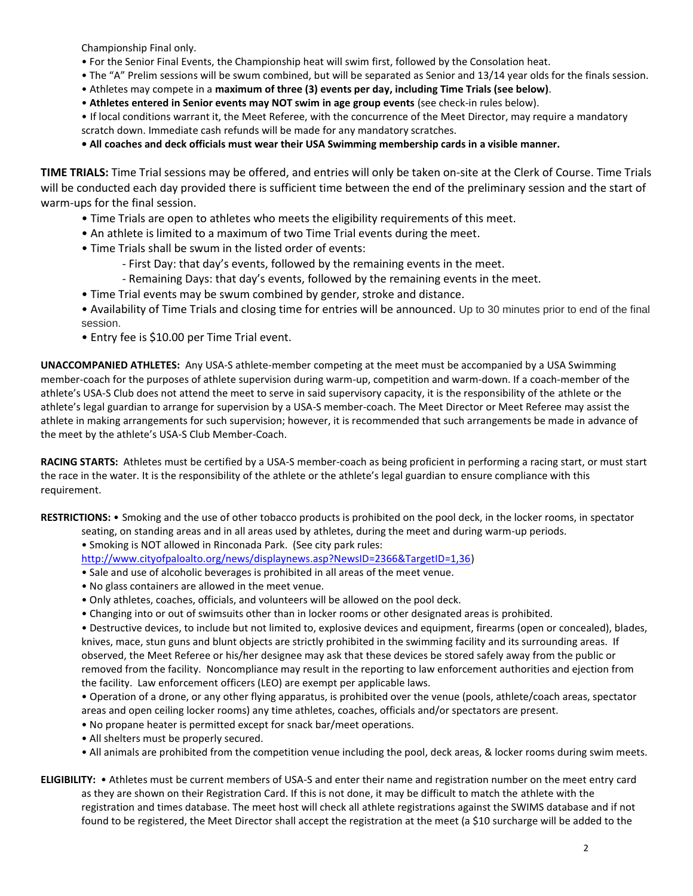Championship Final only.

- For the Senior Final Events, the Championship heat will swim first, followed by the Consolation heat.
- The "A" Prelim sessions will be swum combined, but will be separated as Senior and 13/14 year olds for the finals session.
- Athletes may compete in a **maximum of three (3) events per day, including Time Trials (see below)**.
- **Athletes entered in Senior events may NOT swim in age group events** (see check-in rules below).
- If local conditions warrant it, the Meet Referee, with the concurrence of the Meet Director, may require a mandatory scratch down. Immediate cash refunds will be made for any mandatory scratches.

**• All coaches and deck officials must wear their USA Swimming membership cards in a visible manner.**

**TIME TRIALS:** Time Trial sessions may be offered, and entries will only be taken on-site at the Clerk of Course. Time Trials will be conducted each day provided there is sufficient time between the end of the preliminary session and the start of warm-ups for the final session.

- Time Trials are open to athletes who meets the eligibility requirements of this meet.
- An athlete is limited to a maximum of two Time Trial events during the meet.
- Time Trials shall be swum in the listed order of events:
	- First Day: that day's events, followed by the remaining events in the meet.
	- Remaining Days: that day's events, followed by the remaining events in the meet.
- Time Trial events may be swum combined by gender, stroke and distance.
- Availability of Time Trials and closing time for entries will be announced. Up to 30 minutes prior to end of the final session.
- Entry fee is \$10.00 per Time Trial event.

**UNACCOMPANIED ATHLETES:** Any USA-S athlete-member competing at the meet must be accompanied by a USA Swimming member-coach for the purposes of athlete supervision during warm-up, competition and warm-down. If a coach-member of the athlete's USA-S Club does not attend the meet to serve in said supervisory capacity, it is the responsibility of the athlete or the athlete's legal guardian to arrange for supervision by a USA-S member-coach. The Meet Director or Meet Referee may assist the athlete in making arrangements for such supervision; however, it is recommended that such arrangements be made in advance of the meet by the athlete's USA-S Club Member-Coach.

**RACING STARTS:** Athletes must be certified by a USA-S member-coach as being proficient in performing a racing start, or must start the race in the water. It is the responsibility of the athlete or the athlete's legal guardian to ensure compliance with this requirement.

**RESTRICTIONS:** • Smoking and the use of other tobacco products is prohibited on the pool deck, in the locker rooms, in spectator seating, on standing areas and in all areas used by athletes, during the meet and during warm-up periods.

• Smoking is NOT allowed in Rinconada Park. (See city park rules:

[http://www.cityofpaloalto.org/news/displaynews.asp?NewsID=2366&TargetID=1,36\)](http://www.cityofpaloalto.org/news/displaynews.asp?NewsID=2366&TargetID=1,36)

- Sale and use of alcoholic beverages is prohibited in all areas of the meet venue.
- No glass containers are allowed in the meet venue.
- Only athletes, coaches, officials, and volunteers will be allowed on the pool deck.
- Changing into or out of swimsuits other than in locker rooms or other designated areas is prohibited.

• Destructive devices, to include but not limited to, explosive devices and equipment, firearms (open or concealed), blades, knives, mace, stun guns and blunt objects are strictly prohibited in the swimming facility and its surrounding areas. If observed, the Meet Referee or his/her designee may ask that these devices be stored safely away from the public or removed from the facility. Noncompliance may result in the reporting to law enforcement authorities and ejection from the facility. Law enforcement officers (LEO) are exempt per applicable laws.

• Operation of a drone, or any other flying apparatus, is prohibited over the venue (pools, athlete/coach areas, spectator areas and open ceiling locker rooms) any time athletes, coaches, officials and/or spectators are present.

- No propane heater is permitted except for snack bar/meet operations.
- All shelters must be properly secured.
- All animals are prohibited from the competition venue including the pool, deck areas, & locker rooms during swim meets.

# **ELIGIBILITY:** • Athletes must be current members of USA-S and enter their name and registration number on the meet entry card as they are shown on their Registration Card. If this is not done, it may be difficult to match the athlete with the registration and times database. The meet host will check all athlete registrations against the SWIMS database and if not found to be registered, the Meet Director shall accept the registration at the meet (a \$10 surcharge will be added to the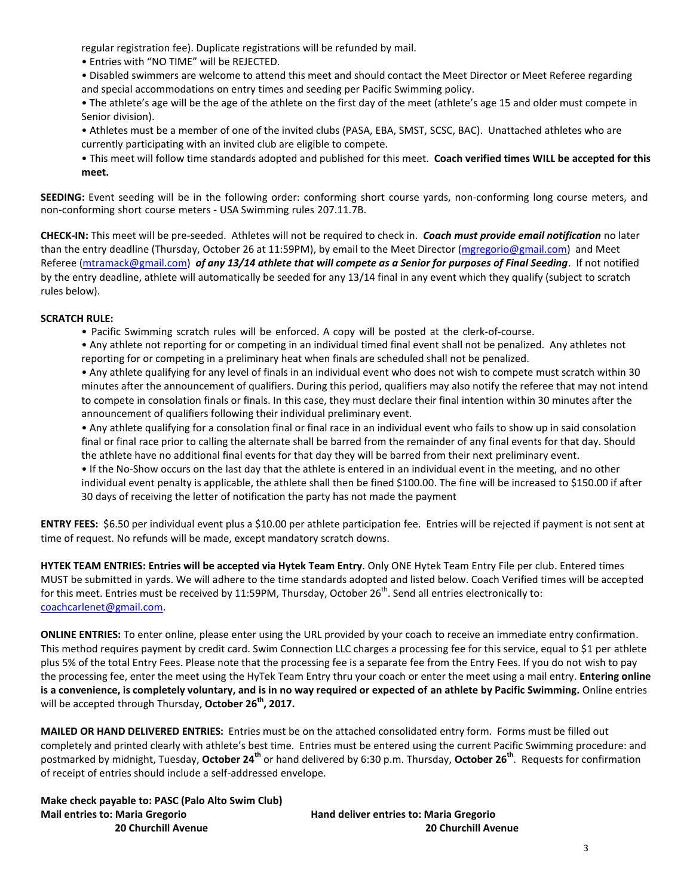regular registration fee). Duplicate registrations will be refunded by mail.

- Entries with "NO TIME" will be REJECTED.
- Disabled swimmers are welcome to attend this meet and should contact the Meet Director or Meet Referee regarding and special accommodations on entry times and seeding per Pacific Swimming policy.
- The athlete's age will be the age of the athlete on the first day of the meet (athlete's age 15 and older must compete in Senior division).
- Athletes must be a member of one of the invited clubs (PASA, EBA, SMST, SCSC, BAC). Unattached athletes who are currently participating with an invited club are eligible to compete.
- This meet will follow time standards adopted and published for this meet. **Coach verified times WILL be accepted for this meet.**

**SEEDING:** Event seeding will be in the following order: conforming short course yards, non-conforming long course meters, and non-conforming short course meters - USA Swimming rules 207.11.7B.

**CHECK-IN:** This meet will be pre-seeded. Athletes will not be required to check in. *Coach must provide email notification* no later than the entry deadline (Thursday, October 26 at 11:59PM), by email to the Meet Director [\(mgregorio@gmail.com\)](mailto:mgregorio@gmail.com) and Meet Referee [\(mtramack@gmail.com\)](mailto:mtramack@gmail.com) *of any 13/14 athlete that will compete as a Senior for purposes of Final Seeding*. If not notified by the entry deadline, athlete will automatically be seeded for any 13/14 final in any event which they qualify (subject to scratch rules below).

# **SCRATCH RULE:**

- Pacific Swimming scratch rules will be enforced. A copy will be posted at the clerk-of-course.
- Any athlete not reporting for or competing in an individual timed final event shall not be penalized. Any athletes not reporting for or competing in a preliminary heat when finals are scheduled shall not be penalized.

• Any athlete qualifying for any level of finals in an individual event who does not wish to compete must scratch within 30 minutes after the announcement of qualifiers. During this period, qualifiers may also notify the referee that may not intend to compete in consolation finals or finals. In this case, they must declare their final intention within 30 minutes after the announcement of qualifiers following their individual preliminary event.

• Any athlete qualifying for a consolation final or final race in an individual event who fails to show up in said consolation final or final race prior to calling the alternate shall be barred from the remainder of any final events for that day. Should the athlete have no additional final events for that day they will be barred from their next preliminary event.

• If the No-Show occurs on the last day that the athlete is entered in an individual event in the meeting, and no other individual event penalty is applicable, the athlete shall then be fined \$100.00. The fine will be increased to \$150.00 if after 30 days of receiving the letter of notification the party has not made the payment

**ENTRY FEES:** \$6.50 per individual event plus a \$10.00 per athlete participation fee. Entries will be rejected if payment is not sent at time of request. No refunds will be made, except mandatory scratch downs.

**HYTEK TEAM ENTRIES: Entries will be accepted via Hytek Team Entry**. Only ONE Hytek Team Entry File per club. Entered times MUST be submitted in yards. We will adhere to the time standards adopted and listed below. Coach Verified times will be accepted for this meet. Entries must be received by 11:59PM, Thursday, October 26<sup>th</sup>. Send all entries electronically to: [coachcarlenet@gmail.com.](mailto:coachcarlenet@gmail.com)

**ONLINE ENTRIES:** To enter online, please enter using the URL provided by your coach to receive an immediate entry confirmation. This method requires payment by credit card. Swim Connection LLC charges a processing fee for this service, equal to \$1 per athlete plus 5% of the total Entry Fees. Please note that the processing fee is a separate fee from the Entry Fees. If you do not wish to pay the processing fee, enter the meet using the HyTek Team Entry thru your coach or enter the meet using a mail entry. **Entering online is a convenience, is completely voluntary, and is in no way required or expected of an athlete by Pacific Swimming.** Online entries will be accepted through Thursday, **October 26th, 2017.**

**MAILED OR HAND DELIVERED ENTRIES:** Entries must be on the attached consolidated entry form. Forms must be filled out completely and printed clearly with athlete's best time. Entries must be entered using the current Pacific Swimming procedure: and postmarked by midnight, Tuesday, **October 24th** or hand delivered by 6:30 p.m. Thursday, **October 26th**. Requests for confirmation of receipt of entries should include a self-addressed envelope.

**Make check payable to: PASC (Palo Alto Swim Club) Mail entries to: Maria Gregorio Hand deliver entries to: Maria Gregorio**

 **20 Churchill Avenue 20 Churchill Avenue**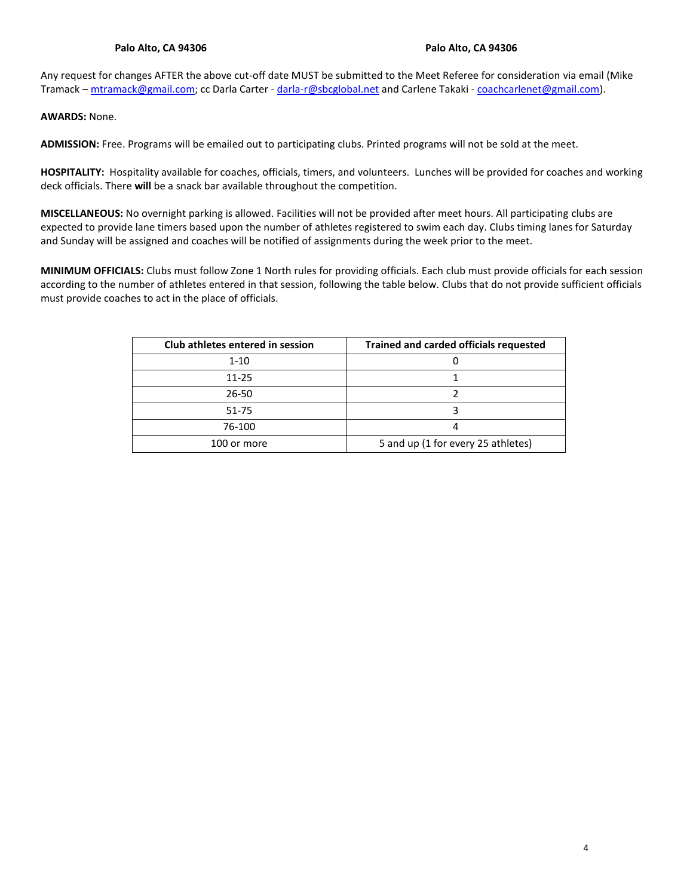Any request for changes AFTER the above cut-off date MUST be submitted to the Meet Referee for consideration via email (Mike Tramack – [mtramack@gmail.com;](mailto:mtramack@gmail.com) cc Darla Carter - [darla-r@sbcglobal.net](mailto:darla-r@sbcglobal.net) and Carlene Takaki - [coachcarlenet@gmail.com\)](mailto:coachcarlenet@gmail.com).

**AWARDS:** None.

**ADMISSION:** Free. Programs will be emailed out to participating clubs. Printed programs will not be sold at the meet.

**HOSPITALITY:** Hospitality available for coaches, officials, timers, and volunteers. Lunches will be provided for coaches and working deck officials. There **will** be a snack bar available throughout the competition.

**MISCELLANEOUS:** No overnight parking is allowed. Facilities will not be provided after meet hours. All participating clubs are expected to provide lane timers based upon the number of athletes registered to swim each day. Clubs timing lanes for Saturday and Sunday will be assigned and coaches will be notified of assignments during the week prior to the meet.

**MINIMUM OFFICIALS:** Clubs must follow Zone 1 North rules for providing officials. Each club must provide officials for each session according to the number of athletes entered in that session, following the table below. Clubs that do not provide sufficient officials must provide coaches to act in the place of officials.

| Club athletes entered in session | <b>Trained and carded officials requested</b> |
|----------------------------------|-----------------------------------------------|
| $1 - 10$                         |                                               |
| $11 - 25$                        |                                               |
| 26-50                            |                                               |
| 51-75                            |                                               |
| 76-100                           |                                               |
| 100 or more                      | 5 and up (1 for every 25 athletes)            |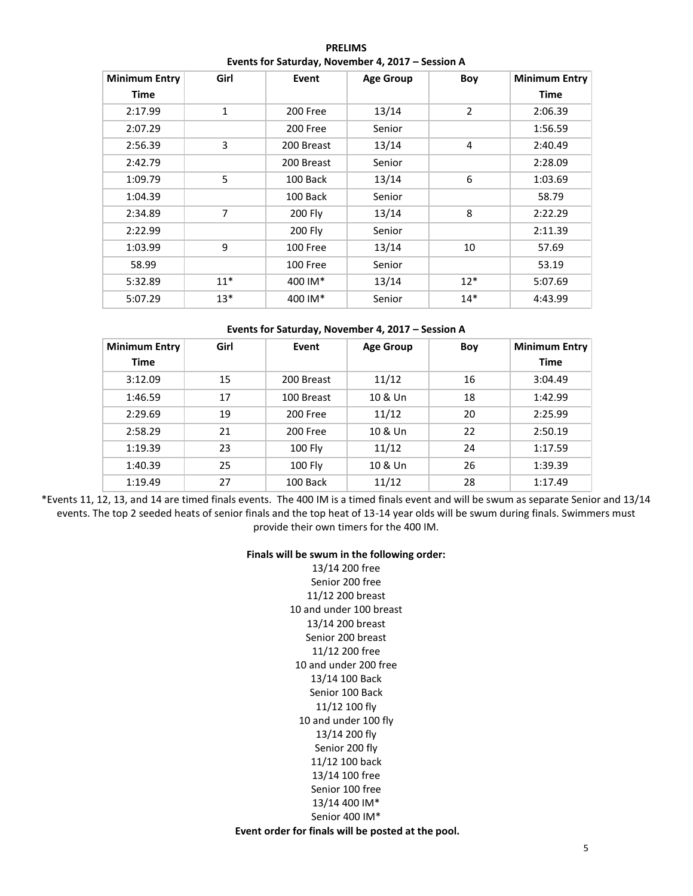**PRELIMS Events for Saturday, November 4, 2017 – Session A**

| <b>Minimum Entry</b><br><b>Time</b> | Girl           | Event      | <b>Age Group</b> | Boy            | Minimum Entry<br><b>Time</b> |  |
|-------------------------------------|----------------|------------|------------------|----------------|------------------------------|--|
| 2:17.99                             | $\mathbf{1}$   | 200 Free   | 13/14            | $\overline{2}$ | 2:06.39                      |  |
| 2:07.29                             |                | 200 Free   | Senior           |                | 1:56.59                      |  |
| 2:56.39                             | 3              | 200 Breast | 13/14            | 4              | 2:40.49                      |  |
| 2:42.79                             |                | 200 Breast | Senior           |                | 2:28.09                      |  |
| 1:09.79                             | 5              | 100 Back   | 13/14            | 6              | 1:03.69                      |  |
| 1:04.39                             |                | 100 Back   | Senior           |                | 58.79                        |  |
| 2:34.89                             | $\overline{7}$ | 200 Fly    | 13/14            | 8              | 2:22.29                      |  |
| 2:22.99                             |                | 200 Fly    | Senior           |                | 2:11.39                      |  |
| 1:03.99                             | 9              | 100 Free   | 13/14            | 10             | 57.69                        |  |
| 58.99                               |                | 100 Free   | Senior           |                | 53.19                        |  |
| 5:32.89                             | $11*$          | 400 IM*    | 13/14            | $12*$          | 5:07.69                      |  |
| 5:07.29                             | $13*$          | 400 IM*    | Senior           | $14*$          | 4:43.99                      |  |

## **Events for Saturday, November 4, 2017 – Session A**

| Girl<br><b>Minimum Entry</b> |                  | Event    | <b>Age Group</b> | Boy     | Minimum Entry |  |  |
|------------------------------|------------------|----------|------------------|---------|---------------|--|--|
| <b>Time</b>                  |                  |          |                  |         | <b>Time</b>   |  |  |
| 15<br>3:12.09<br>200 Breast  |                  | 11/12    | 16               | 3:04.49 |               |  |  |
| 1:46.59                      | 17<br>100 Breast |          | 10 & Un          | 18      |               |  |  |
| 2:29.69                      | 19<br>200 Free   |          | 11/12            | 20      | 2:25.99       |  |  |
| 2:58.29                      | 21<br>200 Free   |          | 10 & Un          | 22      | 2:50.19       |  |  |
| 1:19.39                      | 23               | 100 Fly  | 11/12            | 24      | 1:17.59       |  |  |
| 1:40.39                      | 25               | 100 Fly  | 10 & Un          | 26      | 1:39.39       |  |  |
| 1:19.49                      | 27               | 100 Back | 11/12            | 28      | 1:17.49       |  |  |

\*Events 11, 12, 13, and 14 are timed finals events. The 400 IM is a timed finals event and will be swum as separate Senior and 13/14 events. The top 2 seeded heats of senior finals and the top heat of 13-14 year olds will be swum during finals. Swimmers must provide their own timers for the 400 IM.

### **Finals will be swum in the following order:**

13/14 200 free Senior 200 free 11/12 200 breast 10 and under 100 breast 13/14 200 breast Senior 200 breast 11/12 200 free 10 and under 200 free 13/14 100 Back Senior 100 Back 11/12 100 fly 10 and under 100 fly 13/14 200 fly Senior 200 fly 11/12 100 back 13/14 100 free Senior 100 free 13/14 400 IM\* Senior 400 IM\*

#### **Event order for finals will be posted at the pool.**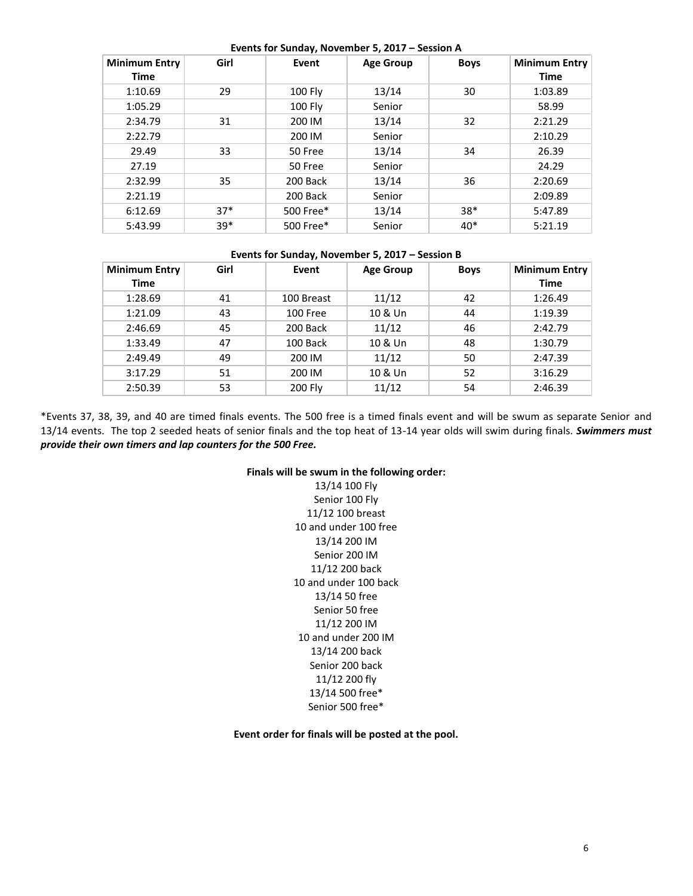|                      |       | EVEIIIS TOT SUITURY, INDIVERSIDE $3$ , 2017 - SESSIDIT A |                  |             |                      |
|----------------------|-------|----------------------------------------------------------|------------------|-------------|----------------------|
| <b>Minimum Entry</b> | Girl  | Event                                                    | <b>Age Group</b> | <b>Boys</b> | <b>Minimum Entry</b> |
| Time                 |       |                                                          |                  |             | <b>Time</b>          |
| 1:10.69              | 29    | $100$ Fly                                                | 13/14            | 30          | 1:03.89              |
| 1:05.29              |       | <b>100 Fly</b>                                           | Senior           |             | 58.99                |
| 2:34.79              | 31    | 200 IM                                                   | 13/14            | 32          | 2:21.29              |
| 2:22.79              |       | 200 IM                                                   | Senior           |             | 2:10.29              |
| 29.49                | 33    | 50 Free                                                  | 13/14            | 34          | 26.39                |
| 27.19                |       | 50 Free                                                  | Senior           |             | 24.29                |
| 2:32.99              | 35    | 200 Back                                                 | 13/14            | 36          | 2:20.69              |
| 2:21.19              |       | 200 Back                                                 | Senior           |             | 2:09.89              |
| 6:12.69              | $37*$ | 500 Free*                                                | 13/14            | $38*$       | 5:47.89              |
| 5:43.99              | $39*$ | 500 Free*                                                | Senior           | $40*$       | 5:21.19              |

# **Events for Sunday, November 5, 2017 – Session A**

## **Events for Sunday, November 5, 2017 – Session B**

| <b>Minimum Entry</b> | Girl | Event      | <b>Age Group</b> | <b>Boys</b> | <b>Minimum Entry</b> |
|----------------------|------|------------|------------------|-------------|----------------------|
| <b>Time</b>          |      |            |                  |             | Time                 |
| 1:28.69              | 41   | 100 Breast | 11/12            | 42          | 1:26.49              |
| 1:21.09              | 43   | 100 Free   | 10 & Un          | 44          | 1:19.39              |
| 2:46.69              | 45   | 200 Back   | 11/12            | 46          | 2:42.79              |
| 1:33.49<br>47        |      | 100 Back   | 10 & Un<br>48    |             | 1:30.79              |
| 2:49.49              | 49   | 200 IM     | 11/12            | 50          | 2:47.39              |
| 3:17.29              | 51   | 200 IM     | 10 & Un          | 52          | 3:16.29              |
| 2:50.39              | 53   | 200 Fly    | 11/12            | 54          | 2:46.39              |

\*Events 37, 38, 39, and 40 are timed finals events. The 500 free is a timed finals event and will be swum as separate Senior and 13/14 events. The top 2 seeded heats of senior finals and the top heat of 13-14 year olds will swim during finals. *Swimmers must provide their own timers and lap counters for the 500 Free.*

## **Finals will be swum in the following order:**

13/14 100 Fly Senior 100 Fly 11/12 100 breast 10 and under 100 free 13/14 200 IM Senior 200 IM 11/12 200 back 10 and under 100 back 13/14 50 free Senior 50 free 11/12 200 IM 10 and under 200 IM 13/14 200 back Senior 200 back 11/12 200 fly 13/14 500 free\* Senior 500 free\*

**Event order for finals will be posted at the pool.**